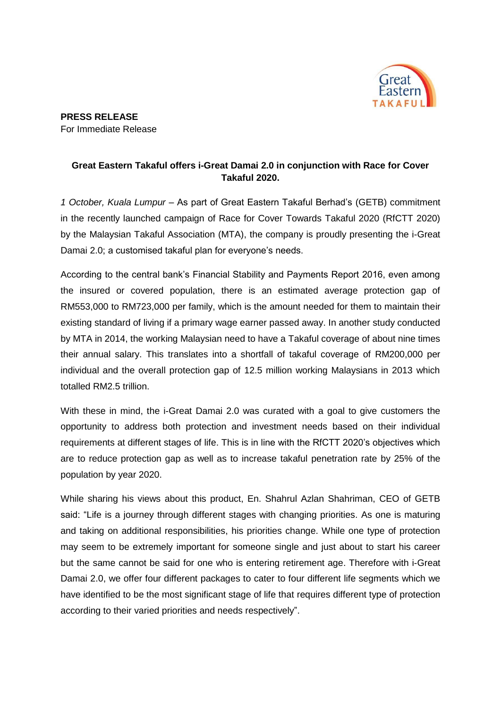

## **Great Eastern Takaful offers i-Great Damai 2.0 in conjunction with Race for Cover Takaful 2020.**

*1 October, Kuala Lumpur* – As part of Great Eastern Takaful Berhad's (GETB) commitment in the recently launched campaign of Race for Cover Towards Takaful 2020 (RfCTT 2020) by the Malaysian Takaful Association (MTA), the company is proudly presenting the i-Great Damai 2.0; a customised takaful plan for everyone's needs.

According to the central bank's Financial Stability and Payments Report 2016, even among the insured or covered population, there is an estimated average protection gap of RM553,000 to RM723,000 per family, which is the amount needed for them to maintain their existing standard of living if a primary wage earner passed away. In another study conducted by MTA in 2014, the working Malaysian need to have a Takaful coverage of about nine times their annual salary. This translates into a shortfall of takaful coverage of RM200,000 per individual and the overall protection gap of 12.5 million working Malaysians in 2013 which totalled RM2.5 trillion.

With these in mind, the i-Great Damai 2.0 was curated with a goal to give customers the opportunity to address both protection and investment needs based on their individual requirements at different stages of life. This is in line with the RfCTT 2020's objectives which are to reduce protection gap as well as to increase takaful penetration rate by 25% of the population by year 2020.

While sharing his views about this product, En. Shahrul Azlan Shahriman, CEO of GETB said: "Life is a journey through different stages with changing priorities. As one is maturing and taking on additional responsibilities, his priorities change. While one type of protection may seem to be extremely important for someone single and just about to start his career but the same cannot be said for one who is entering retirement age. Therefore with i-Great Damai 2.0, we offer four different packages to cater to four different life segments which we have identified to be the most significant stage of life that requires different type of protection according to their varied priorities and needs respectively".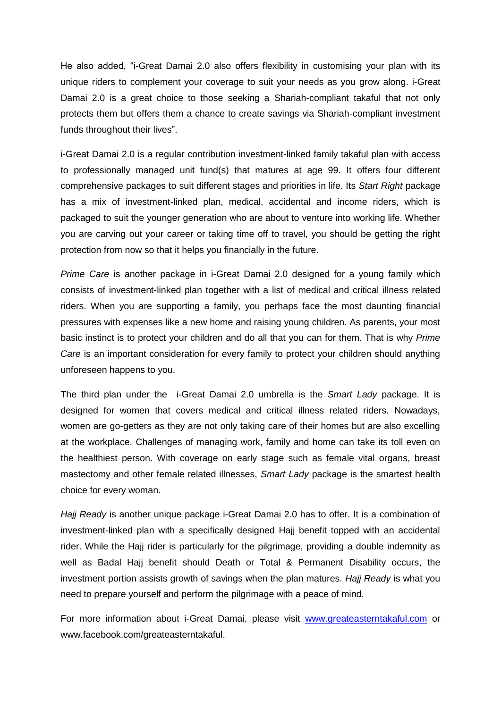He also added, "i-Great Damai 2.0 also offers flexibility in customising your plan with its unique riders to complement your coverage to suit your needs as you grow along. i-Great Damai 2.0 is a great choice to those seeking a Shariah-compliant takaful that not only protects them but offers them a chance to create savings via Shariah-compliant investment funds throughout their lives".

i-Great Damai 2.0 is a regular contribution investment-linked family takaful plan with access to professionally managed unit fund(s) that matures at age 99. It offers four different comprehensive packages to suit different stages and priorities in life. Its *Start Right* package has a mix of investment-linked plan, medical, accidental and income riders, which is packaged to suit the younger generation who are about to venture into working life. Whether you are carving out your career or taking time off to travel, you should be getting the right protection from now so that it helps you financially in the future.

*Prime Care* is another package in i-Great Damai 2.0 designed for a young family which consists of investment-linked plan together with a list of medical and critical illness related riders. When you are supporting a family, you perhaps face the most daunting financial pressures with expenses like a new home and raising young children. As parents, your most basic instinct is to protect your children and do all that you can for them. That is why *Prime Care* is an important consideration for every family to protect your children should anything unforeseen happens to you.

The third plan under the i-Great Damai 2.0 umbrella is the *Smart Lady* package. It is designed for women that covers medical and critical illness related riders. Nowadays, women are go-getters as they are not only taking care of their homes but are also excelling at the workplace. Challenges of managing work, family and home can take its toll even on the healthiest person. With coverage on early stage such as female vital organs, breast mastectomy and other female related illnesses, *Smart Lady* package is the smartest health choice for every woman.

*Hajj Ready* is another unique package i-Great Damai 2.0 has to offer. It is a combination of investment-linked plan with a specifically designed Hajj benefit topped with an accidental rider. While the Hajj rider is particularly for the pilgrimage, providing a double indemnity as well as Badal Hajj benefit should Death or Total & Permanent Disability occurs, the investment portion assists growth of savings when the plan matures. *Hajj Ready* is what you need to prepare yourself and perform the pilgrimage with a peace of mind.

For more information about i-Great Damai, please visit [www.greateasterntakaful.com](http://www.greateasterntakaful.com/) or www.facebook.com/greateasterntakaful.